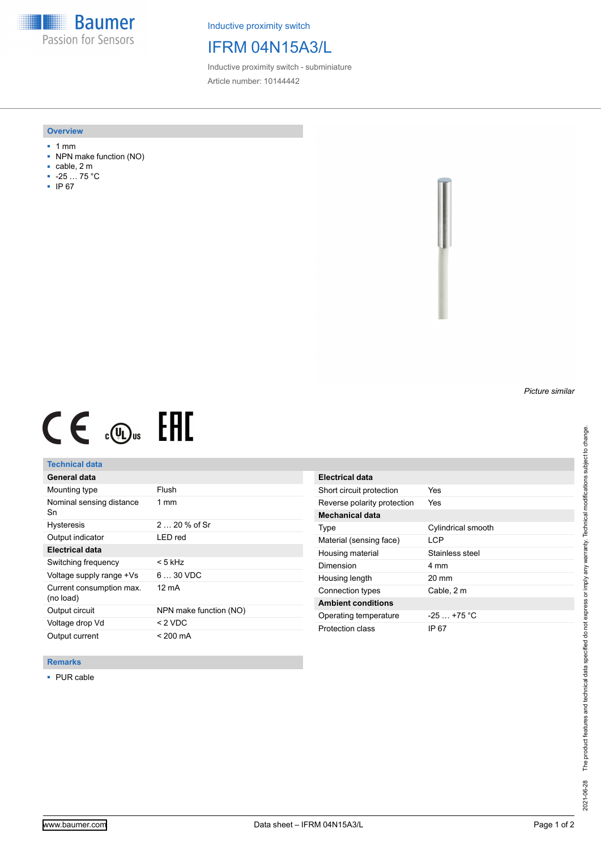**Baumer** Passion for Sensors

Inductive proximity switch

# IFRM 04N15A3/L

Inductive proximity switch - subminiature Article number: 10144442

#### **Overview**

- 1 mm
- NPN make function (NO)
- cable, 2 m
- -25 … 75 °C
- IP 67

*Picture similar*

# $CE \oplus E$

## **Technical data**

| General data                          |                        |
|---------------------------------------|------------------------|
| Mounting type                         | Flush                  |
| Nominal sensing distance<br>Sn        | 1 mm                   |
| <b>Hysteresis</b>                     | $220%$ of Sr           |
| Output indicator                      | I FD red               |
| <b>Electrical data</b>                |                        |
| Switching frequency                   | < 5 kHz                |
| Voltage supply range +Vs              | $630$ VDC              |
| Current consumption max.<br>(no load) | 12 mA                  |
| Output circuit                        | NPN make function (NO) |
| Voltage drop Vd                       | $< 2$ VDC              |
| Output current                        | $< 200 \text{ mA}$     |

| Electrical data             |                    |
|-----------------------------|--------------------|
| Short circuit protection    | Yes                |
| Reverse polarity protection | Yes                |
| <b>Mechanical data</b>      |                    |
| Type                        | Cylindrical smooth |
| Material (sensing face)     | I CP               |
| Housing material            | Stainless steel    |
| Dimension                   | 4 mm               |
| Housing length              | 20 mm              |
| Connection types            | Cable, 2 m         |
| <b>Ambient conditions</b>   |                    |
| Operating temperature       | $-25 + 75$ °C      |
| Protection class            | IP 67              |

### **Remarks**

■ PUR cable